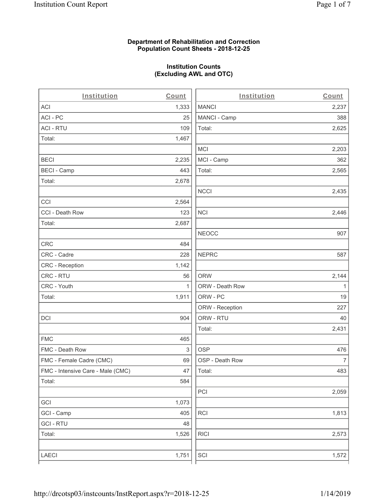#### **Department of Rehabilitation and Correction Population Count Sheets - 2018-12-25**

## **Institution Counts (Excluding AWL and OTC)**

. .

| Institution                       | Count        | Institution     | Count        |
|-----------------------------------|--------------|-----------------|--------------|
| ACI                               | 1,333        | <b>MANCI</b>    | 2,237        |
| ACI - PC                          | 25           | MANCI - Camp    | 388          |
| <b>ACI - RTU</b>                  | 109          | Total:          | 2,625        |
| Total:                            | 1,467        |                 |              |
|                                   |              | <b>MCI</b>      | 2,203        |
| <b>BECI</b>                       | 2,235        | MCI - Camp      | 362          |
| <b>BECI - Camp</b>                | 443          | Total:          | 2,565        |
| Total:                            | 2,678        |                 |              |
|                                   |              | <b>NCCI</b>     | 2,435        |
| CCI                               | 2,564        |                 |              |
| CCI - Death Row                   | 123          | <b>NCI</b>      | 2,446        |
| Total:                            | 2,687        |                 |              |
|                                   |              | <b>NEOCC</b>    | 907          |
| CRC                               | 484          |                 |              |
| CRC - Cadre                       | 228          | <b>NEPRC</b>    | 587          |
| CRC - Reception                   | 1,142        |                 |              |
| CRC - RTU                         | 56           | <b>ORW</b>      | 2,144        |
| CRC - Youth                       | $\mathbf{1}$ | ORW - Death Row | $\mathbf{1}$ |
| Total:                            | 1,911        | ORW - PC        | 19           |
|                                   |              | ORW - Reception | 227          |
| DCI                               | 904          | ORW - RTU       | 40           |
|                                   |              | Total:          | 2,431        |
| <b>FMC</b>                        | 465          |                 |              |
| FMC - Death Row                   | 3            | <b>OSP</b>      | 476          |
| FMC - Female Cadre (CMC)          | 69           | OSP - Death Row | 7            |
| FMC - Intensive Care - Male (CMC) | 47           | Total:          | 483          |
| Total:                            | 584          |                 |              |
|                                   |              | PCI             | 2,059        |
| GCI                               | 1,073        |                 |              |
| GCI - Camp                        | 405          | RCI             | 1,813        |
| <b>GCI - RTU</b>                  | 48           |                 |              |
| Total:                            | 1,526        | <b>RICI</b>     | 2,573        |
| LAECI                             | 1,751        | SCI             | 1,572        |
|                                   |              |                 |              |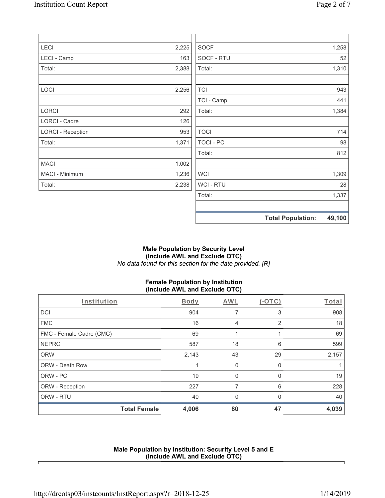| <b>LECI</b>              | 2,225 | <b>SOCF</b>      | 1,258                              |
|--------------------------|-------|------------------|------------------------------------|
| LECI - Camp              | 163   | SOCF - RTU       | 52                                 |
| Total:                   | 2,388 | Total:           | 1,310                              |
|                          |       |                  |                                    |
| <b>LOCI</b>              | 2,256 | <b>TCI</b>       | 943                                |
|                          |       | TCI - Camp       | 441                                |
| LORCI                    | 292   | Total:           | 1,384                              |
| LORCI - Cadre            | 126   |                  |                                    |
| <b>LORCI - Reception</b> | 953   | <b>TOCI</b>      | 714                                |
| Total:                   | 1,371 | <b>TOCI - PC</b> | 98                                 |
|                          |       | Total:           | 812                                |
| <b>MACI</b>              | 1,002 |                  |                                    |
| MACI - Minimum           | 1,236 | <b>WCI</b>       | 1,309                              |
| Total:                   | 2,238 | WCI - RTU        | 28                                 |
|                          |       | Total:           | 1,337                              |
|                          |       |                  |                                    |
|                          |       |                  | <b>Total Population:</b><br>49,100 |

#### **Male Population by Security Level (Include AWL and Exclude OTC)**  *No data found for this section for the date provided. [R]*

# **Female Population by Institution (Include AWL and Exclude OTC)**

| Institution              |                     | Body  | AWL         | $(-OTC)$ | Total |
|--------------------------|---------------------|-------|-------------|----------|-------|
| <b>DCI</b>               |                     | 904   |             | 3        | 908   |
| <b>FMC</b>               |                     | 16    | 4           | 2        | 18    |
| FMC - Female Cadre (CMC) |                     | 69    |             |          | 69    |
| <b>NEPRC</b>             |                     | 587   | 18          | 6        | 599   |
| <b>ORW</b>               |                     | 2,143 | 43          | 29       | 2,157 |
| <b>ORW - Death Row</b>   |                     |       | $\mathbf 0$ | 0        |       |
| ORW - PC                 |                     | 19    | $\Omega$    |          | 19    |
| ORW - Reception          |                     | 227   | 7           | 6        | 228   |
| ORW - RTU                |                     | 40    | $\Omega$    | 0        | 40    |
|                          | <b>Total Female</b> | 4,006 | 80          | 47       | 4,039 |

# **Male Population by Institution: Security Level 5 and E (Include AWL and Exclude OTC)**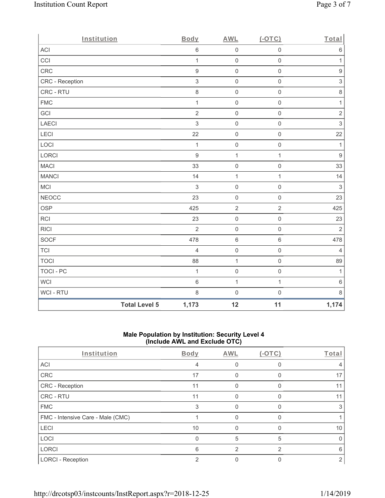| Institution      |                      | Body             | <b>AWL</b>          | $(-OTC)$            | Total            |
|------------------|----------------------|------------------|---------------------|---------------------|------------------|
| ACI              |                      | $\,6$            | $\mathsf{O}\xspace$ | $\mathsf 0$         | $\,6\,$          |
| CCI              |                      | $\mathbf{1}$     | $\mathsf{O}\xspace$ | $\mathsf{O}\xspace$ | $\mathbf{1}$     |
| CRC              |                      | $\boldsymbol{9}$ | $\mathsf{O}$        | $\mathsf{O}\xspace$ | $\boldsymbol{9}$ |
| CRC - Reception  |                      | $\mathfrak{S}$   | $\mathsf{O}$        | $\mathsf{O}\xspace$ | $\sqrt{3}$       |
| CRC - RTU        |                      | 8                | $\mathsf{O}\xspace$ | $\mathsf 0$         | $\,8\,$          |
| <b>FMC</b>       |                      | $\mathbf{1}$     | $\mathsf{O}\xspace$ | $\mathsf{O}\xspace$ | $\mathbf{1}$     |
| GCI              |                      | $\overline{2}$   | $\pmb{0}$           | $\mathsf{O}\xspace$ | $\sqrt{2}$       |
| LAECI            |                      | $\mathfrak{S}$   | $\mathsf{O}$        | $\mathsf{O}\xspace$ | $\mathfrak{S}$   |
| LECI             |                      | 22               | $\mathsf{O}$        | $\mathsf{O}\xspace$ | 22               |
| LOCI             |                      | $\mathbf{1}$     | $\mathsf{O}$        | $\mathsf{O}\xspace$ | $\mathbf{1}$     |
| LORCI            |                      | $\boldsymbol{9}$ | $\mathbf{1}$        | $\mathbf{1}$        | $\boldsymbol{9}$ |
| <b>MACI</b>      |                      | 33               | $\mathsf{O}\xspace$ | $\mathsf{O}\xspace$ | 33               |
| <b>MANCI</b>     |                      | 14               | $\mathbf{1}$        | $\mathbf{1}$        | 14               |
| MCI              |                      | $\mathfrak{S}$   | $\mathbf 0$         | $\mathsf{O}\xspace$ | $\sqrt{3}$       |
| <b>NEOCC</b>     |                      | 23               | $\mathsf{O}\xspace$ | $\mathsf{O}\xspace$ | 23               |
| <b>OSP</b>       |                      | 425              | $\sqrt{2}$          | $\overline{2}$      | 425              |
| RCI              |                      | 23               | $\mathsf{O}\xspace$ | $\mathsf{O}\xspace$ | 23               |
| <b>RICI</b>      |                      | $\overline{2}$   | $\mathsf{O}\xspace$ | $\mathsf{O}\xspace$ | $\overline{2}$   |
| SOCF             |                      | 478              | $\,6\,$             | $\,6\,$             | 478              |
| <b>TCI</b>       |                      | $\overline{4}$   | $\mathsf{O}\xspace$ | $\mathsf{O}\xspace$ | $\overline{4}$   |
| <b>TOCI</b>      |                      | 88               | $\mathbf 1$         | $\mathsf{O}\xspace$ | 89               |
| <b>TOCI - PC</b> |                      | $\mathbf{1}$     | $\mathsf{O}\xspace$ | $\mathsf{O}\xspace$ | $\mathbf{1}$     |
| WCI              |                      | $\,$ 6 $\,$      | $\mathbf{1}$        | $\mathbf{1}$        | $\,6$            |
| WCI - RTU        |                      | $\,8\,$          | $\mathsf{O}\xspace$ | $\mathsf{O}\xspace$ | $\,8\,$          |
|                  | <b>Total Level 5</b> | 1,173            | 12                  | 11                  | 1,174            |

### **Male Population by Institution: Security Level 4 (Include AWL and Exclude OTC)**

| Institution                       | Body | <b>AWL</b> | $(-OTC)$ | Total |
|-----------------------------------|------|------------|----------|-------|
| <b>ACI</b>                        | 4    |            | 0        |       |
| CRC                               | 17   |            | 0        | 17    |
| CRC - Reception                   | 11   |            | 0        |       |
| CRC - RTU                         | 11   |            |          |       |
| <b>FMC</b>                        | 3    |            | O        |       |
| FMC - Intensive Care - Male (CMC) |      |            | O        |       |
| <b>LECI</b>                       | 10   |            |          | 10    |
| LOCI                              | 0    | 5          | 5        |       |
| <b>LORCI</b>                      | 6    | 2          | 2        | ิค    |
| <b>LORCI - Reception</b>          | っ    |            |          | 2     |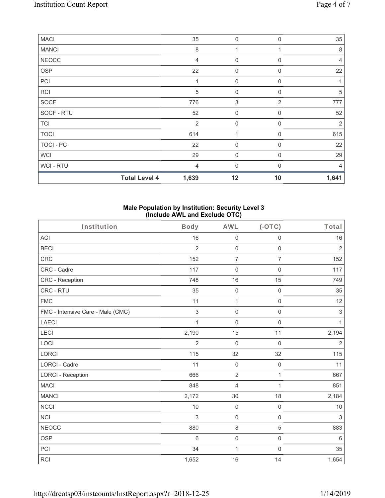| <b>MACI</b>      |                      | 35      | $\mathbf 0$ | $\Omega$       | 35             |
|------------------|----------------------|---------|-------------|----------------|----------------|
| <b>MANCI</b>     |                      | $\,8\,$ |             |                | 8              |
| <b>NEOCC</b>     |                      | 4       | $\mathbf 0$ | $\Omega$       | 4              |
| OSP              |                      | 22      | $\mathbf 0$ | $\mathbf 0$    | 22             |
| PCI              |                      |         | $\mathbf 0$ | $\Omega$       |                |
| RCI              |                      | 5       | $\mathbf 0$ | $\Omega$       | 5              |
| SOCF             |                      | 776     | 3           | $\overline{2}$ | 777            |
| SOCF - RTU       |                      | 52      | $\mathbf 0$ | $\Omega$       | 52             |
| <b>TCI</b>       |                      | 2       | $\mathbf 0$ | $\mathbf 0$    | $\overline{2}$ |
| <b>TOCI</b>      |                      | 614     |             | $\Omega$       | 615            |
| <b>TOCI - PC</b> |                      | 22      | $\mathbf 0$ | $\Omega$       | 22             |
| <b>WCI</b>       |                      | 29      | $\mathbf 0$ | $\mathbf 0$    | 29             |
| WCI - RTU        |                      | 4       | $\Omega$    | $\Omega$       | 4              |
|                  | <b>Total Level 4</b> | 1,639   | 12          | 10             | 1,641          |

## **Male Population by Institution: Security Level 3 (Include AWL and Exclude OTC)**

| Institution                       | <b>Body</b>    | <b>AWL</b>          | $(-OTC)$            | Total          |
|-----------------------------------|----------------|---------------------|---------------------|----------------|
| <b>ACI</b>                        | 16             | $\mathsf{O}\xspace$ | $\mathsf{O}\xspace$ | 16             |
| <b>BECI</b>                       | $\overline{2}$ | $\mathsf{O}\xspace$ | $\mathbf 0$         | $\overline{2}$ |
| <b>CRC</b>                        | 152            | $\overline{7}$      | $\overline{7}$      | 152            |
| CRC - Cadre                       | 117            | $\mathsf{O}\xspace$ | $\mathsf{O}\xspace$ | 117            |
| <b>CRC</b> - Reception            | 748            | 16                  | 15                  | 749            |
| CRC - RTU                         | 35             | $\mathsf{O}\xspace$ | $\mathsf{O}\xspace$ | 35             |
| <b>FMC</b>                        | 11             | $\mathbf{1}$        | $\mathbf 0$         | 12             |
| FMC - Intensive Care - Male (CMC) | $\mathfrak{S}$ | $\mathsf{O}\xspace$ | $\mathsf{O}\xspace$ | $\sqrt{3}$     |
| <b>LAECI</b>                      | $\mathbf{1}$   | $\mathbf 0$         | $\mathbf 0$         | $\mathbf{1}$   |
| LECI                              | 2,190          | 15                  | 11                  | 2,194          |
| LOCI                              | $\overline{2}$ | $\boldsymbol{0}$    | $\mathbf 0$         | $\overline{2}$ |
| LORCI                             | 115            | 32                  | 32                  | 115            |
| LORCI - Cadre                     | 11             | $\mathbf 0$         | $\mathsf 0$         | 11             |
| <b>LORCI - Reception</b>          | 666            | $\overline{2}$      | $\mathbf{1}$        | 667            |
| <b>MACI</b>                       | 848            | 4                   | 1                   | 851            |
| <b>MANCI</b>                      | 2,172          | 30                  | 18                  | 2,184          |
| <b>NCCI</b>                       | 10             | $\mathbf 0$         | $\mathbf 0$         | 10             |
| <b>NCI</b>                        | $\mathfrak{S}$ | $\mathsf{O}\xspace$ | $\mathsf{O}\xspace$ | $\sqrt{3}$     |
| <b>NEOCC</b>                      | 880            | $\,8\,$             | $\overline{5}$      | 883            |
| <b>OSP</b>                        | 6              | $\mathsf{O}\xspace$ | $\mathsf{O}\xspace$ | $\,6\,$        |
| PCI                               | 34             | $\mathbf 1$         | $\mathsf{O}\xspace$ | 35             |
| <b>RCI</b>                        | 1,652          | 16                  | 14                  | 1,654          |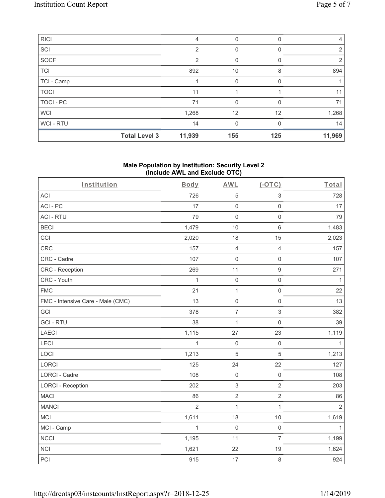| <b>RICI</b> |                      | 4      | 0        | 0   | $\overline{4}$ |
|-------------|----------------------|--------|----------|-----|----------------|
| SCI         |                      | 2      | 0        |     | 2              |
| SOCF        |                      | 2      | 0        | 0   | 2              |
| <b>TCI</b>  |                      | 892    | 10       | 8   | 894            |
| TCI - Camp  |                      |        | 0        |     |                |
| <b>TOCI</b> |                      | 11     |          |     | 11             |
| TOCI - PC   |                      | 71     | 0        | 0   | 71             |
| <b>WCI</b>  |                      | 1,268  | 12       | 12  | 1,268          |
| WCI-RTU     |                      | 14     | $\Omega$ | U   | 14             |
|             | <b>Total Level 3</b> | 11,939 | 155      | 125 | 11,969         |

#### **Male Population by Institution: Security Level 2 (Include AWL and Exclude OTC)**

| Institution                       | Body           | <b>AWL</b>          | $(-OTC)$         | Total          |
|-----------------------------------|----------------|---------------------|------------------|----------------|
| <b>ACI</b>                        | 726            | $\mathbf 5$         | 3                | 728            |
| ACI-PC                            | 17             | $\mathsf{O}\xspace$ | $\mathbf 0$      | 17             |
| <b>ACI - RTU</b>                  | 79             | $\mathbf 0$         | $\mathbf 0$      | 79             |
| <b>BECI</b>                       | 1,479          | 10                  | $6\phantom{1}$   | 1,483          |
| CCI                               | 2,020          | 18                  | 15               | 2,023          |
| <b>CRC</b>                        | 157            | $\overline{4}$      | $\overline{4}$   | 157            |
| CRC - Cadre                       | 107            | $\mathsf 0$         | $\mathsf 0$      | 107            |
| CRC - Reception                   | 269            | 11                  | $\boldsymbol{9}$ | 271            |
| CRC - Youth                       | $\mathbf{1}$   | $\mathsf 0$         | $\mathbf 0$      | $\mathbf{1}$   |
| <b>FMC</b>                        | 21             | $\mathbf{1}$        | $\mathbf 0$      | 22             |
| FMC - Intensive Care - Male (CMC) | 13             | $\mathsf 0$         | $\mathbf 0$      | 13             |
| GCI                               | 378            | $\overline{7}$      | $\,$ 3 $\,$      | 382            |
| <b>GCI-RTU</b>                    | 38             | $\mathbf{1}$        | $\mathbf 0$      | 39             |
| <b>LAECI</b>                      | 1,115          | 27                  | 23               | 1,119          |
| <b>LECI</b>                       | 1              | $\mathsf{O}\xspace$ | $\mathbf 0$      | 1              |
| LOCI                              | 1,213          | $\sqrt{5}$          | $\sqrt{5}$       | 1,213          |
| LORCI                             | 125            | 24                  | 22               | 127            |
| LORCI - Cadre                     | 108            | $\mathsf 0$         | $\mathbf 0$      | 108            |
| <b>LORCI - Reception</b>          | 202            | $\,$ 3 $\,$         | $\overline{2}$   | 203            |
| <b>MACI</b>                       | 86             | $\overline{2}$      | $\overline{2}$   | 86             |
| <b>MANCI</b>                      | $\overline{2}$ | $\mathbf{1}$        | 1                | $\overline{2}$ |
| <b>MCI</b>                        | 1,611          | 18                  | 10               | 1,619          |
| MCI - Camp                        | $\mathbf{1}$   | $\mathsf{O}\xspace$ | $\mathbf 0$      | 1              |
| <b>NCCI</b>                       | 1,195          | 11                  | $\overline{7}$   | 1,199          |
| <b>NCI</b>                        | 1,621          | 22                  | 19               | 1,624          |
| PCI                               | 915            | 17                  | $\,8\,$          | 924            |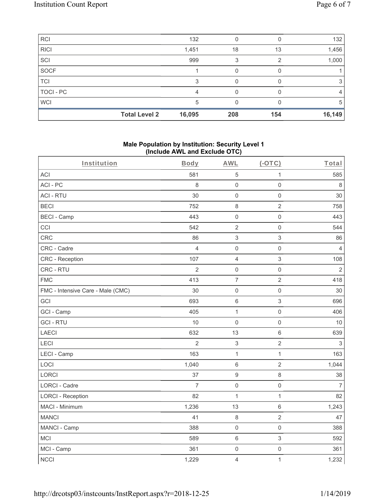| RCI        |                      | 132    |     |     | 132    |
|------------|----------------------|--------|-----|-----|--------|
| RICI       |                      | 1,451  | 18  | 13  | 1,456  |
| SCI        |                      | 999    | 3   |     | 1,000  |
| SOCF       |                      |        |     |     |        |
| TCI        |                      | З      |     |     |        |
| TOCI - PC  |                      |        |     |     | 4      |
| <b>WCI</b> |                      | 5      |     |     | 5      |
|            | <b>Total Level 2</b> | 16,095 | 208 | 154 | 16,149 |

#### **Male Population by Institution: Security Level 1 (Include AWL and Exclude OTC)**

| Institution                       | Body           | <b>AWL</b>          | $(-OTC)$                  | Total          |
|-----------------------------------|----------------|---------------------|---------------------------|----------------|
| <b>ACI</b>                        | 581            | $\mathbf 5$         | 1                         | 585            |
| ACI-PC                            | 8              | $\mathsf{O}\xspace$ | $\mathsf{O}\xspace$       | $\,8\,$        |
| <b>ACI - RTU</b>                  | 30             | $\mathsf{O}\xspace$ | $\mathsf{O}\xspace$       | 30             |
| <b>BECI</b>                       | 752            | $\,8\,$             | $\sqrt{2}$                | 758            |
| <b>BECI - Camp</b>                | 443            | $\mathsf{O}\xspace$ | $\mathsf{O}\xspace$       | 443            |
| CCI                               | 542            | $\sqrt{2}$          | $\mathsf 0$               | 544            |
| CRC                               | 86             | 3                   | $\sqrt{3}$                | 86             |
| CRC - Cadre                       | $\overline{4}$ | $\boldsymbol{0}$    | $\mathsf{O}\xspace$       | $\overline{4}$ |
| CRC - Reception                   | 107            | $\overline{4}$      | 3                         | 108            |
| CRC - RTU                         | $\overline{2}$ | $\mathsf{O}\xspace$ | $\mathsf{O}\xspace$       | $\sqrt{2}$     |
| <b>FMC</b>                        | 413            | $\overline{7}$      | $\overline{2}$            | 418            |
| FMC - Intensive Care - Male (CMC) | 30             | 0                   | $\mathsf{O}\xspace$       | 30             |
| GCI                               | 693            | 6                   | $\ensuremath{\mathsf{3}}$ | 696            |
| GCI - Camp                        | 405            | $\mathbf{1}$        | $\mathsf{O}\xspace$       | 406            |
| <b>GCI-RTU</b>                    | 10             | $\mathsf{O}\xspace$ | $\mathsf 0$               | 10             |
| LAECI                             | 632            | 13                  | $\,6\,$                   | 639            |
| LECI                              | $\overline{2}$ | $\mathfrak{S}$      | $\overline{2}$            | $\sqrt{3}$     |
| LECI - Camp                       | 163            | $\mathbf{1}$        | $\mathbf{1}$              | 163            |
| LOCI                              | 1,040          | 6                   | $\overline{2}$            | 1,044          |
| LORCI                             | 37             | $\boldsymbol{9}$    | $\,8\,$                   | 38             |
| <b>LORCI - Cadre</b>              | $\overline{7}$ | $\mathbf 0$         | $\mathsf{O}\xspace$       | $\overline{7}$ |
| <b>LORCI - Reception</b>          | 82             | $\mathbf{1}$        | $\mathbf{1}$              | 82             |
| MACI - Minimum                    | 1,236          | 13                  | $\,6\,$                   | 1,243          |
| <b>MANCI</b>                      | 41             | $\,8\,$             | $\sqrt{2}$                | 47             |
| MANCI - Camp                      | 388            | $\mathsf{O}\xspace$ | $\mathsf{O}\xspace$       | 388            |
| <b>MCI</b>                        | 589            | 6                   | $\mathfrak{S}$            | 592            |
| MCI - Camp                        | 361            | $\mathsf{O}\xspace$ | $\mathsf{O}\xspace$       | 361            |
| <b>NCCI</b>                       | 1,229          | $\overline{4}$      | $\mathbf{1}$              | 1,232          |